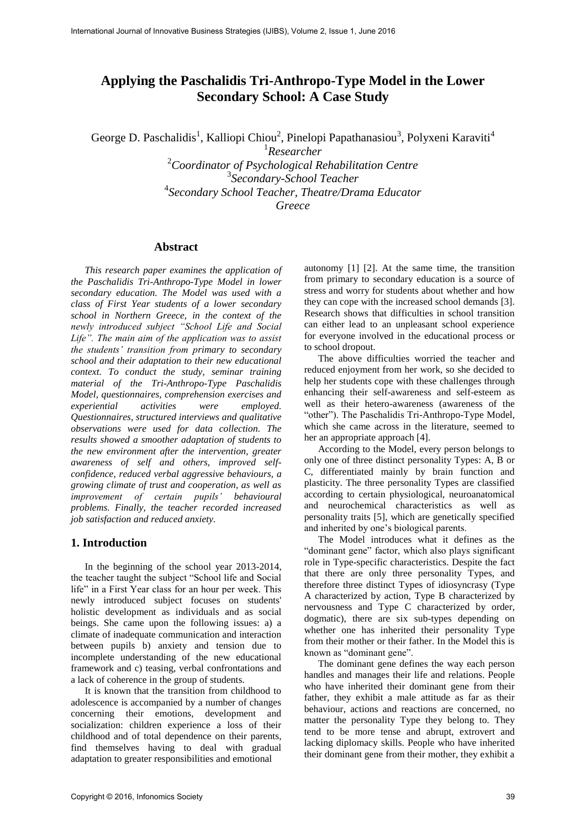# **Applying the Paschalidis Tri-Anthropo-Type Model in the Lower Secondary School: A Case Study**

George D. Paschalidis<sup>1</sup>, Kalliopi Chiou<sup>2</sup>, Pinelopi Papathanasiou<sup>3</sup>, Polyxeni Karaviti<sup>4</sup>

 *Researcher Coordinator of Psychological Rehabilitation Centre Secondary-School Teacher Secondary School Teacher, Theatre/Drama Educator Greece* 

#### **Abstract**

*This research paper examines the application of the Paschalidis Tri-Anthropo-Type Model in lower secondary education. The Model was used with a class of First Year students of a lower secondary school in Northern Greece, in the context of the newly introduced subject "School Life and Social Life". The main aim of the application was to assist the students' transition from primary to secondary school and their adaptation to their new educational context. To conduct the study, seminar training material of the Tri-Anthropo-Type Paschalidis Model, questionnaires, comprehension exercises and experiential activities were employed. Questionnaires, structured interviews and qualitative observations were used for data collection. The results showed a smoother adaptation of students to the new environment after the intervention, greater awareness of self and others, improved selfconfidence, reduced verbal aggressive behaviours, a growing climate of trust and cooperation, as well as improvement of certain pupils' behavioural problems. Finally, the teacher recorded increased job satisfaction and reduced anxiety.* 

## **1. Introduction**

In the beginning of the school year 2013-2014, the teacher taught the subject "School life and Social life" in a First Year class for an hour per week. This newly introduced subject focuses on students' holistic development as individuals and as social beings. She came upon the following issues: a) a climate of inadequate communication and interaction between pupils b) anxiety and tension due to incomplete understanding of the new educational framework and c) teasing, verbal confrontations and a lack of coherence in the group of students.

It is known that the transition from childhood to adolescence is accompanied by a number of changes concerning their emotions, development and socialization: children experience a loss of their childhood and of total dependence on their parents, find themselves having to deal with gradual adaptation to greater responsibilities and emotional

autonomy [1] [2]. At the same time, the transition from primary to secondary education is a source of stress and worry for students about whether and how they can cope with the increased school demands [3]. Research shows that difficulties in school transition can either lead to an unpleasant school experience for everyone involved in the educational process or to school dropout.

The above difficulties worried the teacher and reduced enjoyment from her work, so she decided to help her students cope with these challenges through enhancing their self-awareness and self-esteem as well as their hetero-awareness (awareness of the "other"). The Paschalidis Tri-Anthropo-Type Model, which she came across in the literature, seemed to her an appropriate approach [4].

According to the Model, every person belongs to only one of three distinct personality Types: A, B or C, differentiated mainly by brain function and plasticity. The three personality Types are classified according to certain physiological, neuroanatomical and neurochemical characteristics as well as personality traits [5], which are genetically specified and inherited by one's biological parents.

The Model introduces what it defines as the "dominant gene" factor, which also plays significant role in Type-specific characteristics. Despite the fact that there are only three personality Types, and therefore three distinct Types of idiosyncrasy (Type A characterized by action, Type B characterized by nervousness and Type C characterized by order, dogmatic), there are six sub-types depending on whether one has inherited their personality Type from their mother or their father. In the Model this is known as "dominant gene".

The dominant gene defines the way each person handles and manages their life and relations. People who have inherited their dominant gene from their father, they exhibit a male attitude as far as their behaviour, actions and reactions are concerned, no matter the personality Type they belong to. They tend to be more tense and abrupt, extrovert and lacking diplomacy skills. People who have inherited their dominant gene from their mother, they exhibit a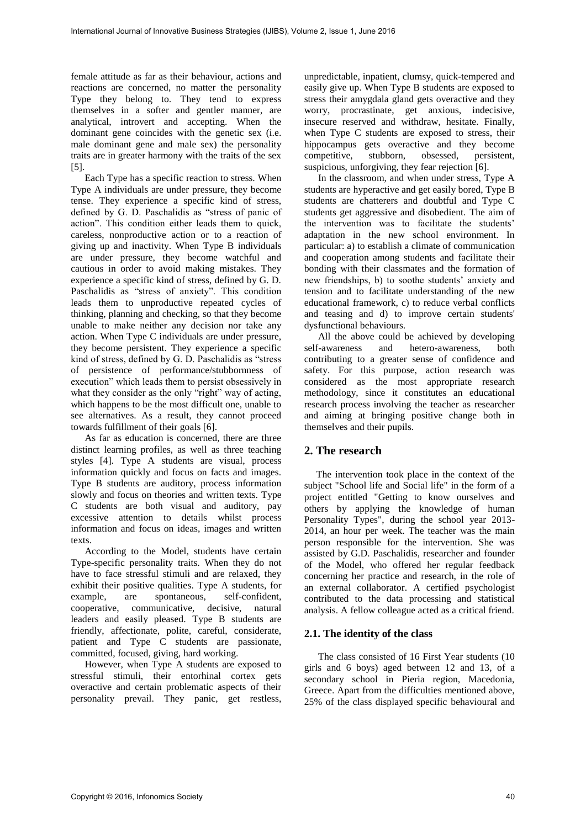female attitude as far as their behaviour, actions and reactions are concerned, no matter the personality Type they belong to. They tend to express themselves in a softer and gentler manner, are analytical, introvert and accepting. When the dominant gene coincides with the genetic sex (i.e. male dominant gene and male sex) the personality traits are in greater harmony with the traits of the sex [5].

Each Type has a specific reaction to stress. When Type A individuals are under pressure, they become tense. They experience a specific kind of stress, defined by G. D. Paschalidis as "stress of panic of action". This condition either leads them to quick, careless, nonproductive action or to a reaction of giving up and inactivity. When Type B individuals are under pressure, they become watchful and cautious in order to avoid making mistakes. They experience a specific kind of stress, defined by G. D. Paschalidis as "stress of anxiety". This condition leads them to unproductive repeated cycles of thinking, planning and checking, so that they become unable to make neither any decision nor take any action. When Type C individuals are under pressure, they become persistent. They experience a specific kind of stress, defined by G. D. Paschalidis as "stress of persistence of performance/stubbornness of execution" which leads them to persist obsessively in what they consider as the only "right" way of acting, which happens to be the most difficult one, unable to see alternatives. As a result, they cannot proceed towards fulfillment of their goals [6].

As far as education is concerned, there are three distinct learning profiles, as well as three teaching styles [4]. Type A students are visual, process information quickly and focus on facts and images. Type B students are auditory, process information slowly and focus on theories and written texts. Type C students are both visual and auditory, pay excessive attention to details whilst process information and focus on ideas, images and written texts.

According to the Model, students have certain Type-specific personality traits. When they do not have to face stressful stimuli and are relaxed, they exhibit their positive qualities. Type A students, for example, are spontaneous, self-confident, cooperative, communicative, decisive, natural leaders and easily pleased. Type B students are friendly, affectionate, polite, careful, considerate, patient and Type C students are passionate, committed, focused, giving, hard working.

However, when Type A students are exposed to stressful stimuli, their entorhinal cortex gets overactive and certain problematic aspects of their personality prevail. They panic, get restless,

unpredictable, inpatient, clumsy, quick-tempered and easily give up. When Type B students are exposed to stress their amygdala gland gets overactive and they worry, procrastinate, get anxious, indecisive, insecure reserved and withdraw, hesitate. Finally, when Type C students are exposed to stress, their hippocampus gets overactive and they become<br>competitive, stubborn, obsessed, persistent, competitive, stubborn, obsessed, persistent, suspicious, unforgiving, they fear rejection [6].

In the classroom, and when under stress, Type A students are hyperactive and get easily bored, Type B students are chatterers and doubtful and Type C students get aggressive and disobedient. The aim of the intervention was to facilitate the students' adaptation in the new school environment. In particular: a) to establish a climate of communication and cooperation among students and facilitate their bonding with their classmates and the formation of new friendships, b) to soothe students' anxiety and tension and to facilitate understanding of the new educational framework, c) to reduce verbal conflicts and teasing and d) to improve certain students' dysfunctional behaviours.

All the above could be achieved by developing self-awareness and hetero-awareness, both contributing to a greater sense of confidence and safety. For this purpose, action research was considered as the most appropriate research methodology, since it constitutes an educational research process involving the teacher as researcher and aiming at bringing positive change both in themselves and their pupils.

# **2. The research**

The intervention took place in the context of the subject "School life and Social life" in the form of a project entitled "Getting to know ourselves and others by applying the knowledge of human Personality Types", during the school year 2013- 2014, an hour per week. The teacher was the main person responsible for the intervention. She was assisted by G.D. Paschalidis, researcher and founder of the Model, who offered her regular feedback concerning her practice and research, in the role of an external collaborator. A certified psychologist contributed to the data processing and statistical analysis. A fellow colleague acted as a critical friend.

#### **2.1. The identity of the class**

The class consisted of 16 First Year students (10 girls and 6 boys) aged between 12 and 13, of a secondary school in Pieria region, Macedonia, Greece. Apart from the difficulties mentioned above, 25% of the class displayed specific behavioural and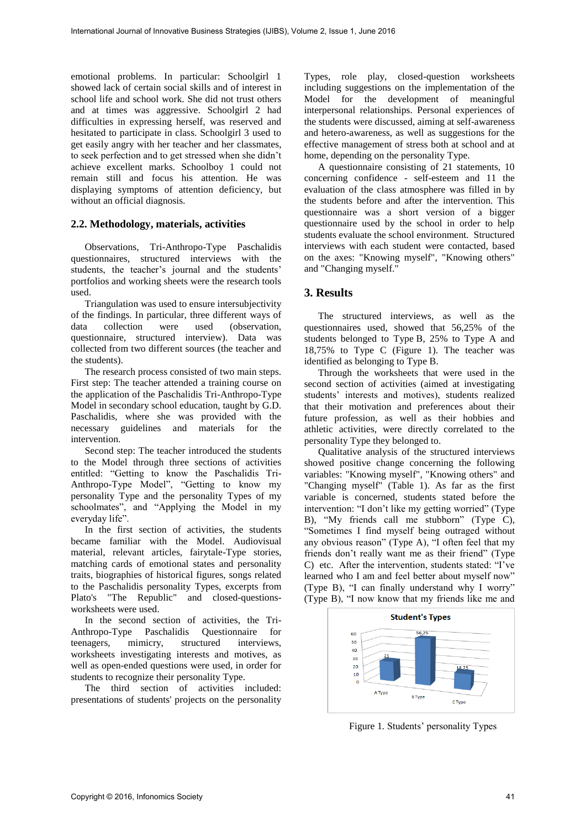emotional problems. In particular: Schoolgirl 1 showed lack of certain social skills and of interest in school life and school work. She did not trust others and at times was aggressive. Schoolgirl 2 had difficulties in expressing herself, was reserved and hesitated to participate in class. Schoolgirl 3 used to get easily angry with her teacher and her classmates, to seek perfection and to get stressed when she didn't achieve excellent marks. Schoolboy 1 could not remain still and focus his attention. He was displaying symptoms of attention deficiency, but without an official diagnosis.

#### **2.2. Methodology, materials, activities**

Observations, Tri-Anthropo-Type Paschalidis questionnaires, structured interviews with the students, the teacher's journal and the students' portfolios and working sheets were the research tools used.

Triangulation was used to ensure intersubjectivity of the findings. In particular, three different ways of data collection were used (observation, questionnaire, structured interview). Data was collected from two different sources (the teacher and the students).

The research process consisted of two main steps. First step: The teacher attended a training course on the application of the Paschalidis Tri-Anthropo-Type Model in secondary school education, taught by G.D. Paschalidis, where she was provided with the necessary guidelines and materials for the intervention.

Second step: The teacher introduced the students to the Model through three sections of activities entitled: "Getting to know the Paschalidis Tri-Anthropo-Type Model", "Getting to know my personality Type and the personality Types of my schoolmates", and "Applying the Model in my everyday life".

In the first section of activities, the students became familiar with the Model. Audiovisual material, relevant articles, fairytale-Type stories, matching cards of emotional states and personality traits, biographies of historical figures, songs related to the Paschalidis personality Types, excerpts from Plato's "The Republic" and closed-questionsworksheets were used.

In the second section of activities, the Tri-Anthropo-Type Paschalidis Questionnaire for teenagers, mimicry, structured interviews, worksheets investigating interests and motives, as well as open-ended questions were used, in order for students to recognize their personality Type.

The third section of activities included: presentations of students' projects on the personality

Types, role play, closed-question worksheets including suggestions on the implementation of the Model for the development of meaningful interpersonal relationships. Personal experiences of the students were discussed, aiming at self-awareness and hetero-awareness, as well as suggestions for the effective management of stress both at school and at home, depending on the personality Type.

A questionnaire consisting of 21 statements, 10 concerning confidence - self-esteem and 11 the evaluation of the class atmosphere was filled in by the students before and after the intervention. This questionnaire was a short version of a bigger questionnaire used by the school in order to help students evaluate the school environment. Structured interviews with each student were contacted, based on the axes: "Knowing myself", "Knowing others" and "Changing myself."

# **3. Results**

The structured interviews, as well as the questionnaires used, showed that 56,25% of the students belonged to Type Β, 25% to Type A and 18,75% to Type C (Figure 1). The teacher was identified as belonging to Type B.

Through the worksheets that were used in the second section of activities (aimed at investigating students' interests and motives), students realized that their motivation and preferences about their future profession, as well as their hobbies and athletic activities, were directly correlated to the personality Type they belonged to.

Qualitative analysis of the structured interviews showed positive change concerning the following variables: "Knowing myself", "Knowing others" and "Changing myself" (Table 1). As far as the first variable is concerned, students stated before the intervention: "I don't like my getting worried" (Type B), "My friends call me stubborn" (Type C), "Sometimes I find myself being outraged without any obvious reason" (Type A), "I often feel that my friends don't really want me as their friend" (Type C) etc. After the intervention, students stated: "I've learned who I am and feel better about myself now" (Type B), "I can finally understand why I worry" (Type B), "I now know that my friends like me and



Figure 1*.* Students' personality Types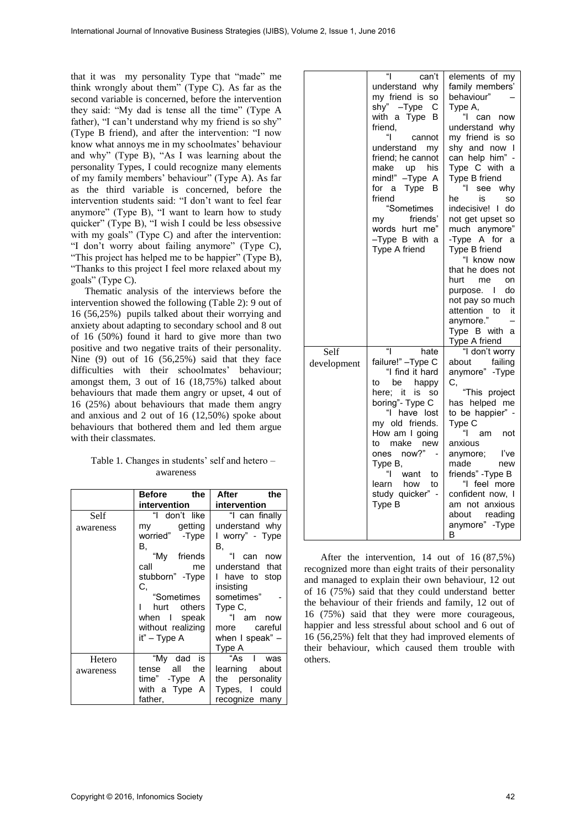that it was my personality Type that "made" me think wrongly about them" (Type C). As far as the second variable is concerned, before the intervention they said: "My dad is tense all the time" (Type A father), "I can't understand why my friend is so shy" (Type B friend), and after the intervention: "I now know what annoys me in my schoolmates' behaviour and why" (Type B), "As I was learning about the personality Types, I could recognize many elements of my family members' behaviour" (Type A). As far as the third variable is concerned, before the intervention students said: "I don't want to feel fear anymore" (Type B), "I want to learn how to study quicker" (Type B), "I wish I could be less obsessive with my goals" (Type C) and after the intervention: "I don't worry about failing anymore" (Type C), "This project has helped me to be happier" (Type B), "Thanks to this project I feel more relaxed about my goals" (Type C).

Thematic analysis of the interviews before the intervention showed the following (Table 2): 9 out of 16 (56,25%) pupils talked about their worrying and anxiety about adapting to secondary school and 8 out of 16 (50%) found it hard to give more than two positive and two negative traits of their personality. Nine (9) out of 16 (56,25%) said that they face difficulties with their schoolmates' behaviour; amongst them, 3 out of 16 (18,75%) talked about behaviours that made them angry or upset, 4 out of 16 (25%) about behaviours that made them angry and anxious and 2 out of 16 (12,50%) spoke about behaviours that bothered them and led them argue with their classmates.

#### Table 1*.* Changes in students' self and hetero – awareness

|           | Before<br>the     | After<br>the    |
|-----------|-------------------|-----------------|
|           | intervention      | intervention    |
| Self      | "I don't like     | "I can finally  |
| awareness | my getting        | understand why  |
|           | worried" - Type   | I worry" - Type |
|           | В,                | В.              |
|           | "My friends       | can<br>now      |
|           | call<br>me        | understand that |
|           | stubborn" - Type  | I have to stop  |
|           | С.                | insisting       |
|           | "Sometimes        | sometimes"      |
|           | others<br>hurt    | Type C,         |
|           | when I speak      | "I am now       |
|           | without realizing | more careful    |
|           | it" – Type A      | when I speak" - |
|           |                   | Type A          |
| Hetero    | "My<br>dad<br>is  | "As I<br>was    |
| awareness | tense all<br>the  | learning about  |
|           | time" - Type A    | the personality |
|           | with a Type A     | Types, I could  |
|           | father,           | recognize many  |

|                     | "<br>can't<br>understand why<br>my friend is so<br>shy" –Type<br>С<br>with a Type<br>в<br>friend,<br>"l<br>cannot<br>understand<br>my<br>friend; he cannot<br>make<br>his<br>up<br>mind!"<br>$-Type A$<br>Type B<br>for a<br>friend<br>"Sometimes<br>friends'<br>my<br>words hurt me"<br>$-T$ ype B with a<br>Type A friend | elements of my<br>family members'<br>behaviour"<br>Type A,<br>"l<br>can now<br>understand why<br>my friend is so<br>shy and now I<br>can help him" -<br>Type C with a<br>Type B friend<br>"l<br>see<br>why<br>he<br>is<br>SO<br>indecisive! I do<br>not get upset so<br>much anymore"<br>-Type A for a<br>Type B friend<br>"I know now<br>that he does not<br>hurt me<br>on<br>purpose.<br>do<br>L<br>not pay so much<br>attention<br>to<br>it<br>anymore."<br>Type B with a<br>Type A friend |
|---------------------|-----------------------------------------------------------------------------------------------------------------------------------------------------------------------------------------------------------------------------------------------------------------------------------------------------------------------------|-----------------------------------------------------------------------------------------------------------------------------------------------------------------------------------------------------------------------------------------------------------------------------------------------------------------------------------------------------------------------------------------------------------------------------------------------------------------------------------------------|
| Self<br>development | "<br>hate<br>failure!" - Type C<br>"I find it hard<br>happy<br>be<br>to<br>here; it<br>is<br>so<br>boring"- Type C<br>"I have lost<br>my old friends.<br>How am I going<br>make<br>to<br>new<br>now?"<br>ones<br>Type B,<br>"l<br>want<br>to<br>learn how<br>to<br>study quicker" -<br>Type B                               | "I don't worry<br>failing<br>about<br>anymore" - Type<br>C,<br>"This project<br>has helped me<br>to be happier" -<br>Type C<br>"<br>am<br>not<br>anxious<br>anymore;<br>l've<br>made<br>new<br>friends" - Type B<br>"I feel more<br>confident now, I<br>am not anxious<br>about reading<br>anymore" - Type<br>В                                                                                                                                                                               |

 After the intervention, 14 out of 16 (87,5%) recognized more than eight traits of their personality and managed to explain their own behaviour, 12 out of 16 (75%) said that they could understand better the behaviour of their friends and family, 12 out of 16 (75%) said that they were more courageous, happier and less stressful about school and 6 out of 16 (56,25%) felt that they had improved elements of their behaviour, which caused them trouble with others.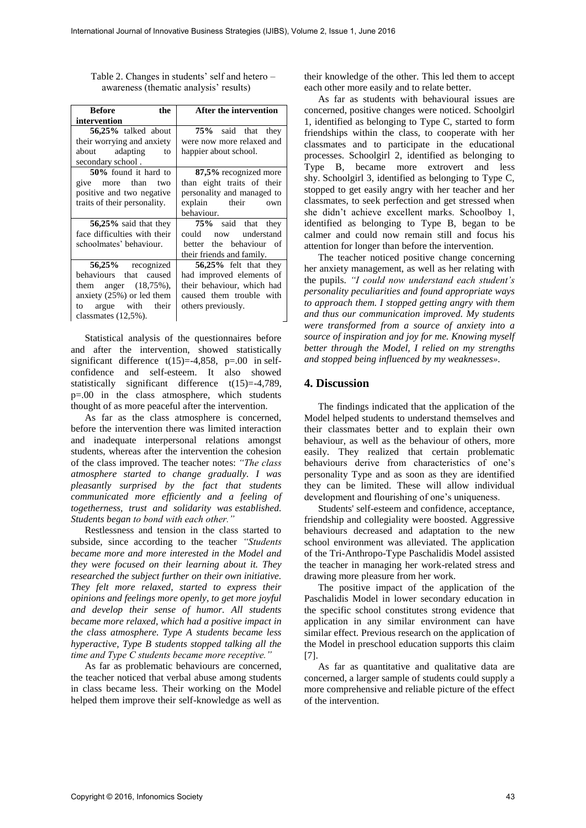| Before<br>the                | After the intervention     |
|------------------------------|----------------------------|
| intervention                 |                            |
| 56,25% talked about          | 75% said that they         |
| their worrying and anxiety   | were now more relaxed and  |
| about adapting<br>to         | happier about school.      |
| secondary school.            |                            |
| 50% found it hard to         | 87,5% recognized more      |
| give more than<br>two        | than eight traits of their |
| positive and two negative    | personality and managed to |
| traits of their personality. | explain their own          |
|                              | behaviour.                 |
| 56,25% said that they        | 75% said that they         |
| face difficulties with their | now understand<br>could    |
| schoolmates' behaviour.      | better the behaviour of    |
|                              | their friends and family.  |
| 56,25% recognized            | 56,25% felt that they      |
| behaviours that caused       | had improved elements of   |
| them anger $(18,75\%)$ ,     | their behaviour, which had |
| anxiety $(25%)$ or led them  | caused them trouble with   |
| to argue with their          | others previously.         |
| classmates (12,5%).          |                            |

Table 2. Changes in students' self and hetero – awareness (thematic analysis' results)

Statistical analysis of the questionnaires before and after the intervention, showed statistically significant difference  $t(15)=-4,858$ ,  $p=.00$  in selfconfidence and self-esteem. It also showed statistically significant difference t(15)=-4,789, p=.00 in the class atmosphere, which students thought of as more peaceful after the intervention.

As far as the class atmosphere is concerned, before the intervention there was limited interaction and inadequate interpersonal relations amongst students, whereas after the intervention the cohesion of the class improved. The teacher notes: *"The class atmosphere started to change gradually. I was pleasantly surprised by the fact that students communicated more efficiently and a feeling of togetherness, trust and solidarity was established. Students began to bond with each other."*

Restlessness and tension in the class started to subside, since according to the teacher *"Students became more and more interested in the Model and they were focused on their learning about it. They researched the subject further on their own initiative. They felt more relaxed, started to express their opinions and feelings more openly, to get more joyful and develop their sense of humor. All students became more relaxed, which had a positive impact in the class atmosphere. Type A students became less hyperactive, Type B students stopped talking all the time and Type C students became more receptive."*

As far as problematic behaviours are concerned, the teacher noticed that verbal abuse among students in class became less. Their working on the Model helped them improve their self-knowledge as well as

their knowledge of the other. This led them to accept each other more easily and to relate better.

As far as students with behavioural issues are concerned, positive changes were noticed. Schoolgirl 1, identified as belonging to Type C, started to form friendships within the class, to cooperate with her classmates and to participate in the educational processes. Schoolgirl 2, identified as belonging to Type B, became more extrovert and less shy. Schoolgirl 3, identified as belonging to Type C, stopped to get easily angry with her teacher and her classmates, to seek perfection and get stressed when she didn't achieve excellent marks. Schoolboy 1, identified as belonging to Type B, began to be calmer and could now remain still and focus his attention for longer than before the intervention.

The teacher noticed positive change concerning her anxiety management, as well as her relating with the pupils. *"I could now understand each student's personality peculiarities and found appropriate ways to approach them. I stopped getting angry with them and thus our communication improved. My students were transformed from a source of anxiety into a source of inspiration and joy for me. Knowing myself better through the Model, I relied on my strengths and stopped being influenced by my weaknesses».*

#### **4. Discussion**

The findings indicated that the application of the Model helped students to understand themselves and their classmates better and to explain their own behaviour, as well as the behaviour of others, more easily. They realized that certain problematic behaviours derive from characteristics of one's personality Type and as soon as they are identified they can be limited. These will allow individual development and flourishing of one's uniqueness.

Students' self-esteem and confidence, acceptance, friendship and collegiality were boosted. Aggressive behaviours decreased and adaptation to the new school environment was alleviated. The application of the Tri-Anthropo-Type Paschalidis Model assisted the teacher in managing her work-related stress and drawing more pleasure from her work.

The positive impact of the application of the Paschalidis Model in lower secondary education in the specific school constitutes strong evidence that application in any similar environment can have similar effect. Previous research on the application of the Model in preschool education supports this claim [7].

As far as quantitative and qualitative data are concerned, a larger sample of students could supply a more comprehensive and reliable picture of the effect of the intervention.